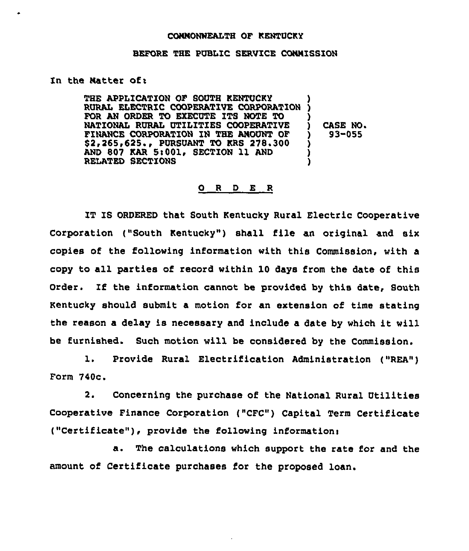## CONNONNEALTH OF KENTUCKY

## BEFORE THE PUBLIC SERVICE CONNISSZON

## In the Natter of:

THE APPLICATION OF SOUTH KENTUCKY RURAL ELECTRIC COOPERATIVE CORPORATIO FOR AN ORDER TO EXECUTE ITS NOTE TO NATIONAL RURAL UTILITIES COOPERATIVE FINANCE CORPORATION IN THE ANOUNT OF \$2,265,625., PURSUANT TO KRS 278.300 AND 807 KAR 5:001. SECTION 11 AND RELATED SECTIONS ) ) ) ) CASE NO. ) 93-055 ) )

## 0 <sup>R</sup> <sup>D</sup> E <sup>R</sup>

IT IS ORDERED that South Kentucky Rural Electric Cooperative Corporation ("South Kentucky") shall file an original and six copies of the following information with this Commission, with a copy to all parties of record within 10 days from the date of this Order. If the information cannot be provided by this date, South Kentucky should submit a motion for an extension of time stating the reason a delay is necessary and include <sup>a</sup> date by which it will be furnished. Such motion will be considered by the Commission.

1. Provide Rural Electrification Administration ("REA") Form 740c

2. Concerning the purchase of the National Rural Utilities Cooperative Finance Corporation ("CFC") Capital Term Certificate ("Certificate"), provide the following information:

The calculations which support the rata for and the amount of Certificate purchases for the proposed loan.